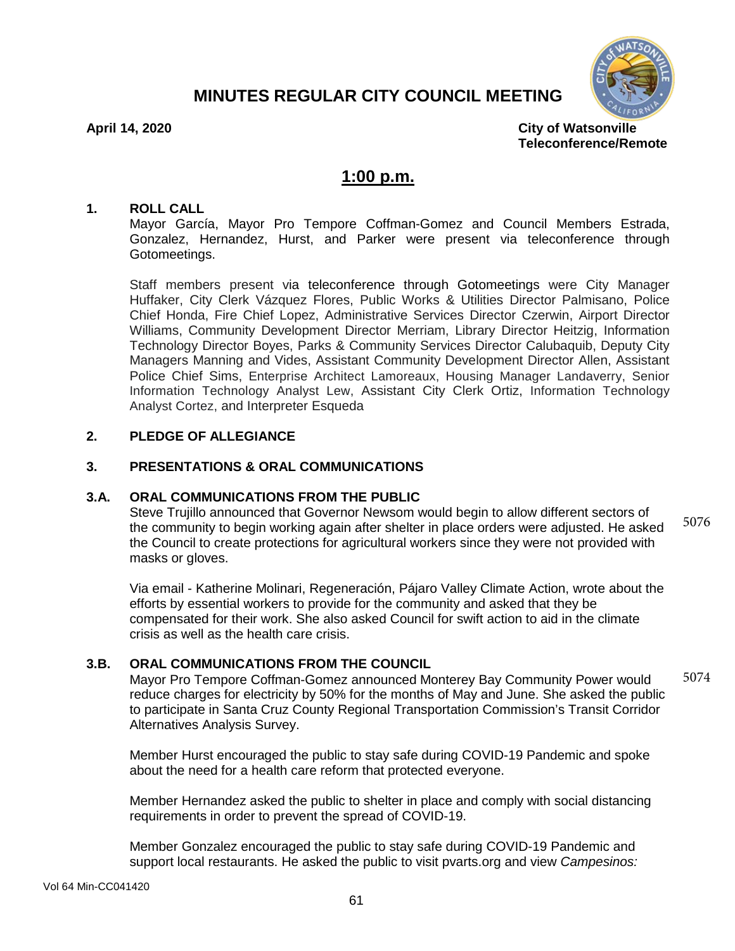# **MINUTES REGULAR CITY COUNCIL MEETING**



**April 14, 2020 City of Watsonville Teleconference/Remote**

# **1:00 p.m.**

#### **1. ROLL CALL**

Mayor García, Mayor Pro Tempore Coffman-Gomez and Council Members Estrada, Gonzalez, Hernandez, Hurst, and Parker were present via teleconference through Gotomeetings.

Staff members present via teleconference through Gotomeetings were City Manager Huffaker, City Clerk Vázquez Flores, Public Works & Utilities Director Palmisano, Police Chief Honda, Fire Chief Lopez, Administrative Services Director Czerwin, Airport Director Williams, Community Development Director Merriam, Library Director Heitzig, Information Technology Director Boyes, Parks & Community Services Director Calubaquib, Deputy City Managers Manning and Vides, Assistant Community Development Director Allen, Assistant Police Chief Sims, Enterprise Architect Lamoreaux, Housing Manager Landaverry, Senior Information Technology Analyst Lew, Assistant City Clerk Ortiz, Information Technology Analyst Cortez, and Interpreter Esqueda

#### **2. PLEDGE OF ALLEGIANCE**

#### **3. PRESENTATIONS & ORAL COMMUNICATIONS**

#### **3.A. ORAL COMMUNICATIONS FROM THE PUBLIC**

Steve Trujillo announced that Governor Newsom would begin to allow different sectors of the community to begin working again after shelter in place orders were adjusted. He asked the Council to create protections for agricultural workers since they were not provided with masks or gloves. 5076

Via email - Katherine Molinari, Regeneración, Pájaro Valley Climate Action, wrote about the efforts by essential workers to provide for the community and asked that they be compensated for their work. She also asked Council for swift action to aid in the climate crisis as well as the health care crisis.

#### **3.B. ORAL COMMUNICATIONS FROM THE COUNCIL**

Mayor Pro Tempore Coffman-Gomez announced Monterey Bay Community Power would reduce charges for electricity by 50% for the months of May and June. She asked the public to participate in Santa Cruz County Regional Transportation Commission's Transit Corridor Alternatives Analysis Survey. 5074

Member Hurst encouraged the public to stay safe during COVID-19 Pandemic and spoke about the need for a health care reform that protected everyone.

Member Hernandez asked the public to shelter in place and comply with social distancing requirements in order to prevent the spread of COVID-19.

Member Gonzalez encouraged the public to stay safe during COVID-19 Pandemic and support local restaurants. He asked the public to visit pvarts.org and view *Campesinos:*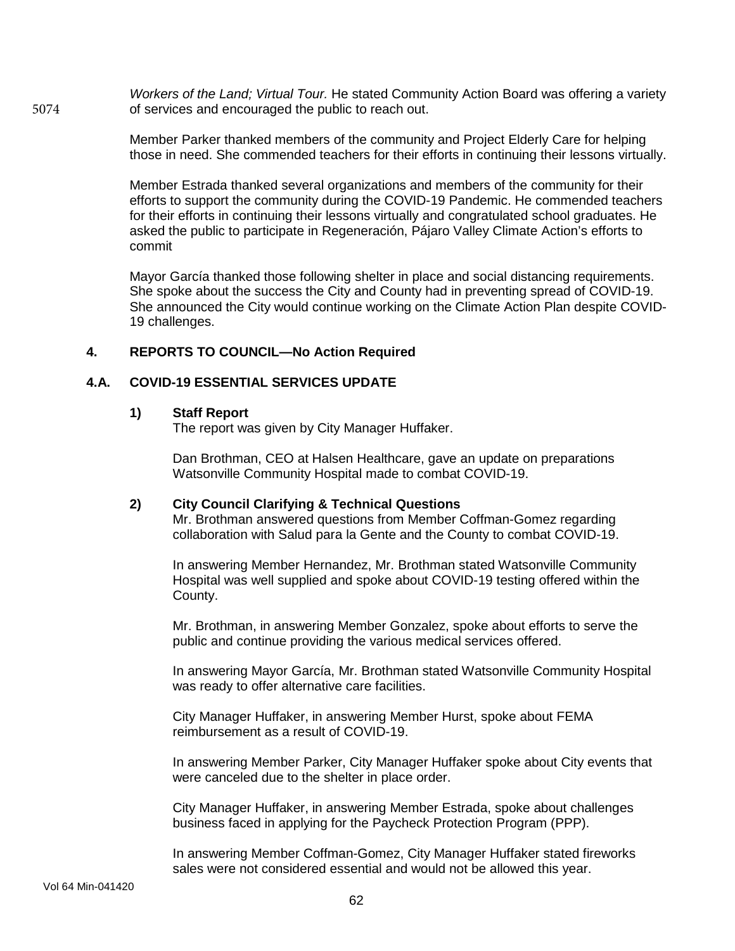*Workers of the Land; Virtual Tour.* He stated Community Action Board was offering a variety of services and encouraged the public to reach out. 5074

> Member Parker thanked members of the community and Project Elderly Care for helping those in need. She commended teachers for their efforts in continuing their lessons virtually.

> Member Estrada thanked several organizations and members of the community for their efforts to support the community during the COVID-19 Pandemic. He commended teachers for their efforts in continuing their lessons virtually and congratulated school graduates. He asked the public to participate in Regeneración, Pájaro Valley Climate Action's efforts to commit

> Mayor García thanked those following shelter in place and social distancing requirements. She spoke about the success the City and County had in preventing spread of COVID-19. She announced the City would continue working on the Climate Action Plan despite COVID-19 challenges.

### **4. REPORTS TO COUNCIL—No Action Required**

#### **4.A. COVID-19 ESSENTIAL SERVICES UPDATE**

#### **1) Staff Report**

The report was given by City Manager Huffaker.

Dan Brothman, CEO at Halsen Healthcare, gave an update on preparations Watsonville Community Hospital made to combat COVID-19.

#### **2) City Council Clarifying & Technical Questions**

Mr. Brothman answered questions from Member Coffman-Gomez regarding collaboration with Salud para la Gente and the County to combat COVID-19.

In answering Member Hernandez, Mr. Brothman stated Watsonville Community Hospital was well supplied and spoke about COVID-19 testing offered within the County.

Mr. Brothman, in answering Member Gonzalez, spoke about efforts to serve the public and continue providing the various medical services offered.

In answering Mayor García, Mr. Brothman stated Watsonville Community Hospital was ready to offer alternative care facilities.

City Manager Huffaker, in answering Member Hurst, spoke about FEMA reimbursement as a result of COVID-19.

In answering Member Parker, City Manager Huffaker spoke about City events that were canceled due to the shelter in place order.

City Manager Huffaker, in answering Member Estrada, spoke about challenges business faced in applying for the Paycheck Protection Program (PPP).

In answering Member Coffman-Gomez, City Manager Huffaker stated fireworks sales were not considered essential and would not be allowed this year.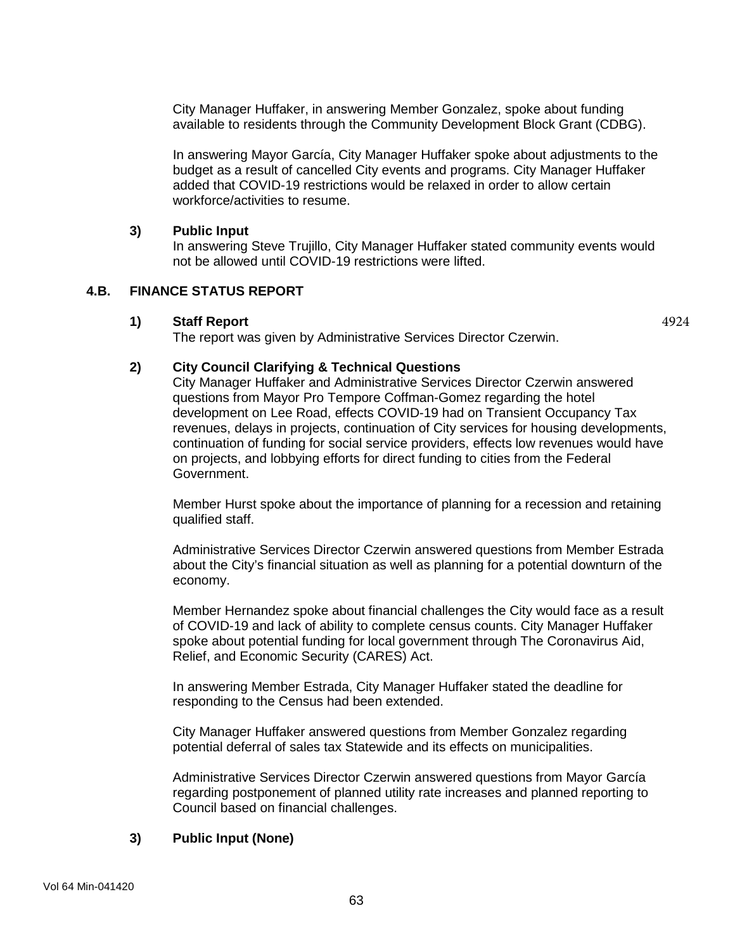City Manager Huffaker, in answering Member Gonzalez, spoke about funding available to residents through the Community Development Block Grant (CDBG).

In answering Mayor García, City Manager Huffaker spoke about adjustments to the budget as a result of cancelled City events and programs. City Manager Huffaker added that COVID-19 restrictions would be relaxed in order to allow certain workforce/activities to resume.

#### **3) Public Input**

In answering Steve Trujillo, City Manager Huffaker stated community events would not be allowed until COVID-19 restrictions were lifted.

4924

## **4.B. FINANCE STATUS REPORT**

#### **1) Staff Report**

The report was given by Administrative Services Director Czerwin.

#### **2) City Council Clarifying & Technical Questions**

City Manager Huffaker and Administrative Services Director Czerwin answered questions from Mayor Pro Tempore Coffman-Gomez regarding the hotel development on Lee Road, effects COVID-19 had on Transient Occupancy Tax revenues, delays in projects, continuation of City services for housing developments, continuation of funding for social service providers, effects low revenues would have on projects, and lobbying efforts for direct funding to cities from the Federal Government.

Member Hurst spoke about the importance of planning for a recession and retaining qualified staff.

Administrative Services Director Czerwin answered questions from Member Estrada about the City's financial situation as well as planning for a potential downturn of the economy.

Member Hernandez spoke about financial challenges the City would face as a result of COVID-19 and lack of ability to complete census counts. City Manager Huffaker spoke about potential funding for local government through The Coronavirus Aid, Relief, and Economic Security (CARES) Act.

In answering Member Estrada, City Manager Huffaker stated the deadline for responding to the Census had been extended.

City Manager Huffaker answered questions from Member Gonzalez regarding potential deferral of sales tax Statewide and its effects on municipalities.

Administrative Services Director Czerwin answered questions from Mayor García regarding postponement of planned utility rate increases and planned reporting to Council based on financial challenges.

### **3) Public Input (None)**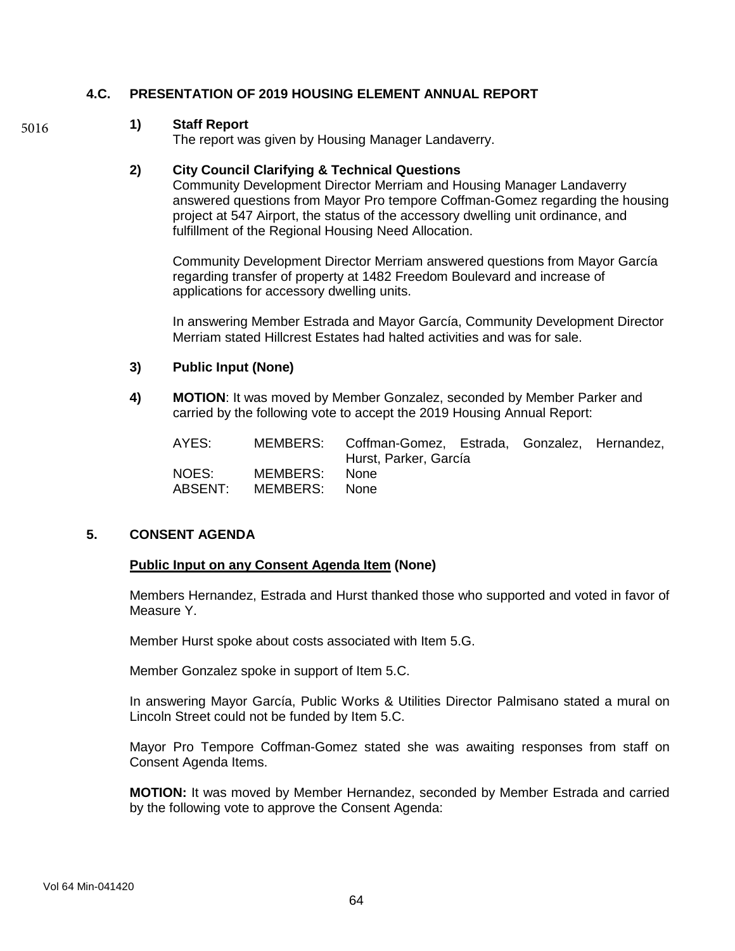## **4.C. PRESENTATION OF 2019 HOUSING ELEMENT ANNUAL REPORT**

#### **1) Staff Report**

5016

The report was given by Housing Manager Landaverry.

#### **2) City Council Clarifying & Technical Questions**

Community Development Director Merriam and Housing Manager Landaverry answered questions from Mayor Pro tempore Coffman-Gomez regarding the housing project at 547 Airport, the status of the accessory dwelling unit ordinance, and fulfillment of the Regional Housing Need Allocation.

Community Development Director Merriam answered questions from Mayor García regarding transfer of property at 1482 Freedom Boulevard and increase of applications for accessory dwelling units.

In answering Member Estrada and Mayor García, Community Development Director Merriam stated Hillcrest Estates had halted activities and was for sale.

#### **3) Public Input (None)**

**4) MOTION**: It was moved by Member Gonzalez, seconded by Member Parker and carried by the following vote to accept the 2019 Housing Annual Report:

| AYES:            |                           | MEMBERS: Coffman-Gomez, Estrada, Gonzalez, Hernandez,<br>Hurst, Parker, García |  |  |
|------------------|---------------------------|--------------------------------------------------------------------------------|--|--|
| NOES:<br>ABSENT: | MEMBERS:<br>MEMBERS: None | - None                                                                         |  |  |

#### **5. CONSENT AGENDA**

#### **Public Input on any Consent Agenda Item (None)**

Members Hernandez, Estrada and Hurst thanked those who supported and voted in favor of Measure Y.

Member Hurst spoke about costs associated with Item 5.G.

Member Gonzalez spoke in support of Item 5.C.

In answering Mayor García, Public Works & Utilities Director Palmisano stated a mural on Lincoln Street could not be funded by Item 5.C.

Mayor Pro Tempore Coffman-Gomez stated she was awaiting responses from staff on Consent Agenda Items.

**MOTION:** It was moved by Member Hernandez, seconded by Member Estrada and carried by the following vote to approve the Consent Agenda: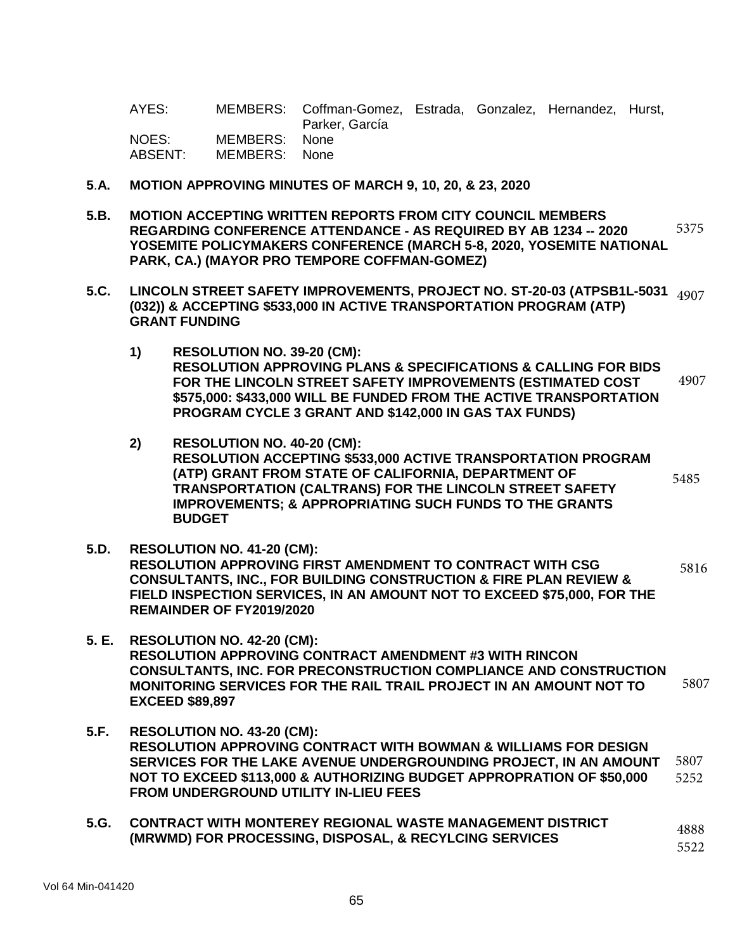AYES: MEMBERS: Coffman-Gomez, Estrada, Gonzalez, Hernandez, Hurst, Parker, García<br>None NOES: MEMBERS: ABSENT: MEMBERS: None

- **5**.**A. MOTION APPROVING MINUTES OF MARCH 9, 10, 20, & 23, 2020**
- **5.B. MOTION ACCEPTING WRITTEN REPORTS FROM CITY COUNCIL MEMBERS REGARDING CONFERENCE ATTENDANCE - AS REQUIRED BY AB 1234 -- 2020 YOSEMITE POLICYMAKERS CONFERENCE (MARCH 5-8, 2020, YOSEMITE NATIONAL PARK, CA.) (MAYOR PRO TEMPORE COFFMAN-GOMEZ)**  5375
- **5.C. LINCOLN STREET SAFETY IMPROVEMENTS, PROJECT NO. ST-20-03 (ATPSB1L-5031** 4907 **(032)) & ACCEPTING \$533,000 IN ACTIVE TRANSPORTATION PROGRAM (ATP) GRANT FUNDING** 
	- **1) RESOLUTION NO. 39-20 (CM): RESOLUTION APPROVING PLANS & SPECIFICATIONS & CALLING FOR BIDS FOR THE LINCOLN STREET SAFETY IMPROVEMENTS (ESTIMATED COST \$575,000: \$433,000 WILL BE FUNDED FROM THE ACTIVE TRANSPORTATION PROGRAM CYCLE 3 GRANT AND \$142,000 IN GAS TAX FUNDS)** 4907
	- **2) RESOLUTION NO. 40-20 (CM): RESOLUTION ACCEPTING \$533,000 ACTIVE TRANSPORTATION PROGRAM (ATP) GRANT FROM STATE OF CALIFORNIA, DEPARTMENT OF TRANSPORTATION (CALTRANS) FOR THE LINCOLN STREET SAFETY IMPROVEMENTS; & APPROPRIATING SUCH FUNDS TO THE GRANTS BUDGET** 5485
- **5.D. RESOLUTION NO. 41-20 (CM): RESOLUTION APPROVING FIRST AMENDMENT TO CONTRACT WITH CSG CONSULTANTS, INC., FOR BUILDING CONSTRUCTION & FIRE PLAN REVIEW & FIELD INSPECTION SERVICES, IN AN AMOUNT NOT TO EXCEED \$75,000, FOR THE REMAINDER OF FY2019/2020**  5816
- **5. E. RESOLUTION NO. 42-20 (CM): RESOLUTION APPROVING CONTRACT AMENDMENT #3 WITH RINCON CONSULTANTS, INC. FOR PRECONSTRUCTION COMPLIANCE AND CONSTRUCTION MONITORING SERVICES FOR THE RAIL TRAIL PROJECT IN AN AMOUNT NOT TO EXCEED \$89,897**  5807
- **5.F. RESOLUTION NO. 43-20 (CM): RESOLUTION APPROVING CONTRACT WITH BOWMAN & WILLIAMS FOR DESIGN SERVICES FOR THE LAKE AVENUE UNDERGROUNDING PROJECT, IN AN AMOUNT NOT TO EXCEED \$113,000 & AUTHORIZING BUDGET APPROPRATION OF \$50,000 FROM UNDERGROUND UTILITY IN-LIEU FEES**  5807 5252
- **5.G. CONTRACT WITH MONTEREY REGIONAL WASTE MANAGEMENT DISTRICT (MRWMD) FOR PROCESSING, DISPOSAL, & RECYLCING SERVICES**  4888 5522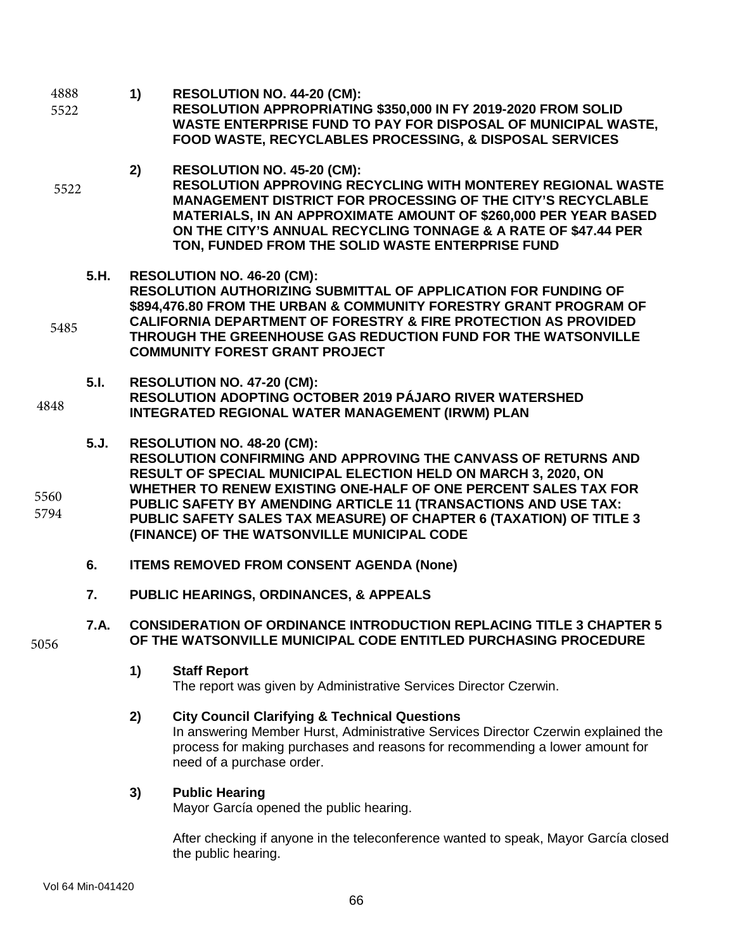- **1) RESOLUTION NO. 44-20 (CM): RESOLUTION APPROPRIATING \$350,000 IN FY 2019-2020 FROM SOLID WASTE ENTERPRISE FUND TO PAY FOR DISPOSAL OF MUNICIPAL WASTE, FOOD WASTE, RECYCLABLES PROCESSING, & DISPOSAL SERVICES 2) RESOLUTION NO. 45-20 (CM): RESOLUTION APPROVING RECYCLING WITH MONTEREY REGIONAL WASTE MANAGEMENT DISTRICT FOR PROCESSING OF THE CITY'S RECYCLABLE MATERIALS, IN AN APPROXIMATE AMOUNT OF \$260,000 PER YEAR BASED ON THE CITY'S ANNUAL RECYCLING TONNAGE & A RATE OF \$47.44 PER TON, FUNDED FROM THE SOLID WASTE ENTERPRISE FUND 5.H. RESOLUTION NO. 46-20 (CM): RESOLUTION AUTHORIZING SUBMITTAL OF APPLICATION FOR FUNDING OF**  4888 5522 5522
- **\$894,476.80 FROM THE URBAN & COMMUNITY FORESTRY GRANT PROGRAM OF CALIFORNIA DEPARTMENT OF FORESTRY & FIRE PROTECTION AS PROVIDED THROUGH THE GREENHOUSE GAS REDUCTION FUND FOR THE WATSONVILLE COMMUNITY FOREST GRANT PROJECT**  5485
- **5.I. RESOLUTION NO. 47-20 (CM): RESOLUTION ADOPTING OCTOBER 2019 PÁJARO RIVER WATERSHED INTEGRATED REGIONAL WATER MANAGEMENT (IRWM) PLAN**  4848
- **5.J. RESOLUTION NO. 48-20 (CM): RESOLUTION CONFIRMING AND APPROVING THE CANVASS OF RETURNS AND RESULT OF SPECIAL MUNICIPAL ELECTION HELD ON MARCH 3, 2020, ON WHETHER TO RENEW EXISTING ONE-HALF OF ONE PERCENT SALES TAX FOR PUBLIC SAFETY BY AMENDING ARTICLE 11 (TRANSACTIONS AND USE TAX: PUBLIC SAFETY SALES TAX MEASURE) OF CHAPTER 6 (TAXATION) OF TITLE 3 (FINANCE) OF THE WATSONVILLE MUNICIPAL CODE** 5560 5794
	- **6. ITEMS REMOVED FROM CONSENT AGENDA (None)**
	- **7. PUBLIC HEARINGS, ORDINANCES, & APPEALS**
	- **7.A. CONSIDERATION OF ORDINANCE INTRODUCTION REPLACING TITLE 3 CHAPTER 5 OF THE WATSONVILLE MUNICIPAL CODE ENTITLED PURCHASING PROCEDURE**
		- **1) Staff Report**
			- The report was given by Administrative Services Director Czerwin.

### **2) City Council Clarifying & Technical Questions**

In answering Member Hurst, Administrative Services Director Czerwin explained the process for making purchases and reasons for recommending a lower amount for need of a purchase order.

### **3) Public Hearing**

Mayor García opened the public hearing.

After checking if anyone in the teleconference wanted to speak, Mayor García closed the public hearing.

5056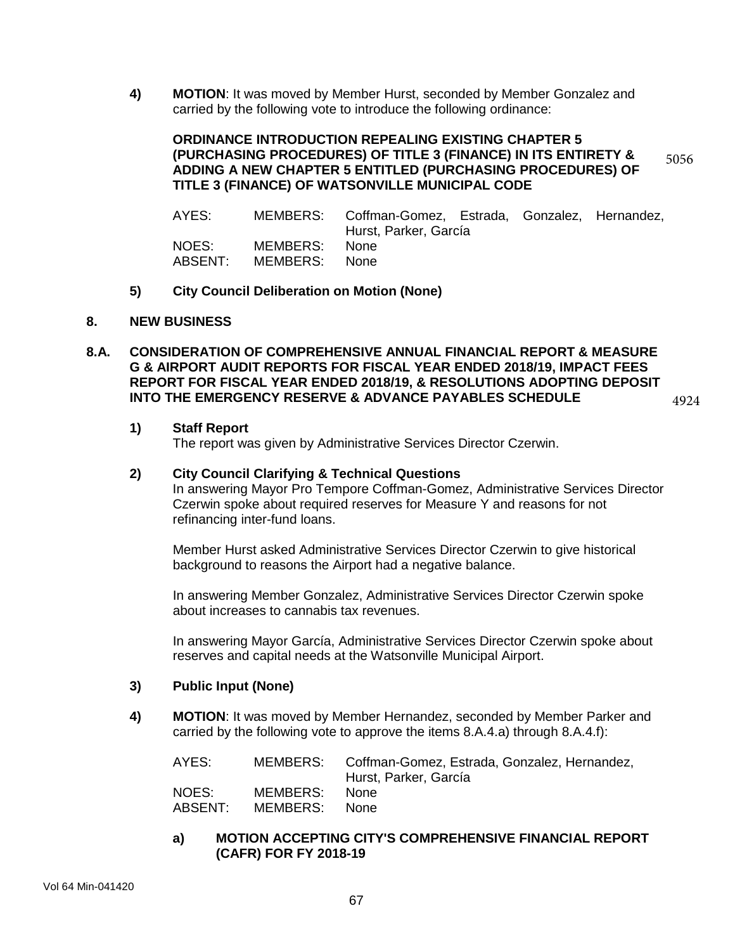**4) MOTION**: It was moved by Member Hurst, seconded by Member Gonzalez and carried by the following vote to introduce the following ordinance:

#### **ORDINANCE INTRODUCTION REPEALING EXISTING CHAPTER 5 (PURCHASING PROCEDURES) OF TITLE 3 (FINANCE) IN ITS ENTIRETY & ADDING A NEW CHAPTER 5 ENTITLED (PURCHASING PROCEDURES) OF TITLE 3 (FINANCE) OF WATSONVILLE MUNICIPAL CODE** 5056

| AYES:            |                           | MEMBERS: Coffman-Gomez, Estrada, Gonzalez, Hernandez,<br>Hurst, Parker, García |  |  |
|------------------|---------------------------|--------------------------------------------------------------------------------|--|--|
| NOES:<br>ABSENT: | MEMBERS:<br>MEMBERS: None | None                                                                           |  |  |

**5) City Council Deliberation on Motion (None)**

#### **8. NEW BUSINESS**

**8.A. CONSIDERATION OF COMPREHENSIVE ANNUAL FINANCIAL REPORT & MEASURE G & AIRPORT AUDIT REPORTS FOR FISCAL YEAR ENDED 2018/19, IMPACT FEES REPORT FOR FISCAL YEAR ENDED 2018/19, & RESOLUTIONS ADOPTING DEPOSIT INTO THE EMERGENCY RESERVE & ADVANCE PAYABLES SCHEDULE**

#### 4924

#### **1) Staff Report**

The report was given by Administrative Services Director Czerwin.

#### **2) City Council Clarifying & Technical Questions**

In answering Mayor Pro Tempore Coffman-Gomez, Administrative Services Director Czerwin spoke about required reserves for Measure Y and reasons for not refinancing inter-fund loans.

Member Hurst asked Administrative Services Director Czerwin to give historical background to reasons the Airport had a negative balance.

In answering Member Gonzalez, Administrative Services Director Czerwin spoke about increases to cannabis tax revenues.

In answering Mayor García, Administrative Services Director Czerwin spoke about reserves and capital needs at the Watsonville Municipal Airport.

#### **3) Public Input (None)**

**4) MOTION**: It was moved by Member Hernandez, seconded by Member Parker and carried by the following vote to approve the items 8.A.4.a) through 8.A.4.f):

| AYES:   |          | MEMBERS: Coffman-Gomez, Estrada, Gonzalez, Hernandez,<br>Hurst, Parker, García |
|---------|----------|--------------------------------------------------------------------------------|
| NOES:   | MEMBERS: | <b>None</b>                                                                    |
| ABSENT: | MEMBERS: | None.                                                                          |

#### **a) MOTION ACCEPTING CITY'S COMPREHENSIVE FINANCIAL REPORT (CAFR) FOR FY 2018-19**